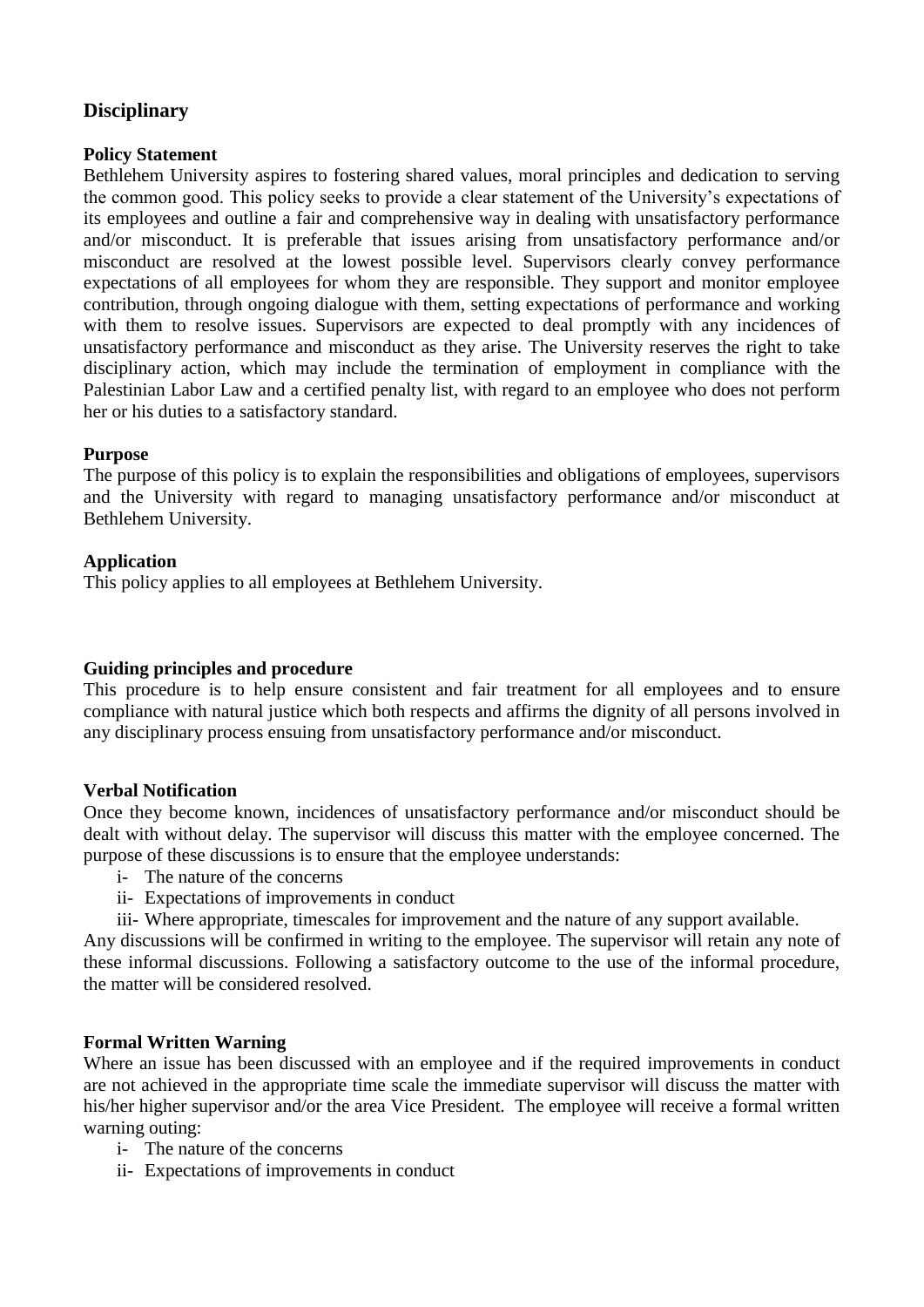# **Disciplinary**

# **Policy Statement**

Bethlehem University aspires to fostering shared values, moral principles and dedication to serving the common good. This policy seeks to provide a clear statement of the University's expectations of its employees and outline a fair and comprehensive way in dealing with unsatisfactory performance and/or misconduct. It is preferable that issues arising from unsatisfactory performance and/or misconduct are resolved at the lowest possible level. Supervisors clearly convey performance expectations of all employees for whom they are responsible. They support and monitor employee contribution, through ongoing dialogue with them, setting expectations of performance and working with them to resolve issues. Supervisors are expected to deal promptly with any incidences of unsatisfactory performance and misconduct as they arise. The University reserves the right to take disciplinary action, which may include the termination of employment in compliance with the Palestinian Labor Law and a certified penalty list, with regard to an employee who does not perform her or his duties to a satisfactory standard.

## **Purpose**

The purpose of this policy is to explain the responsibilities and obligations of employees, supervisors and the University with regard to managing unsatisfactory performance and/or misconduct at Bethlehem University.

## **Application**

This policy applies to all employees at Bethlehem University.

# **Guiding principles and procedure**

This procedure is to help ensure consistent and fair treatment for all employees and to ensure compliance with natural justice which both respects and affirms the dignity of all persons involved in any disciplinary process ensuing from unsatisfactory performance and/or misconduct.

#### **Verbal Notification**

Once they become known, incidences of unsatisfactory performance and/or misconduct should be dealt with without delay. The supervisor will discuss this matter with the employee concerned. The purpose of these discussions is to ensure that the employee understands:

- i- The nature of the concerns
- ii- Expectations of improvements in conduct
- iii- Where appropriate, timescales for improvement and the nature of any support available.

Any discussions will be confirmed in writing to the employee. The supervisor will retain any note of these informal discussions. Following a satisfactory outcome to the use of the informal procedure, the matter will be considered resolved.

#### **Formal Written Warning**

Where an issue has been discussed with an employee and if the required improvements in conduct are not achieved in the appropriate time scale the immediate supervisor will discuss the matter with his/her higher supervisor and/or the area Vice President. The employee will receive a formal written warning outing:

- i- The nature of the concerns
- ii- Expectations of improvements in conduct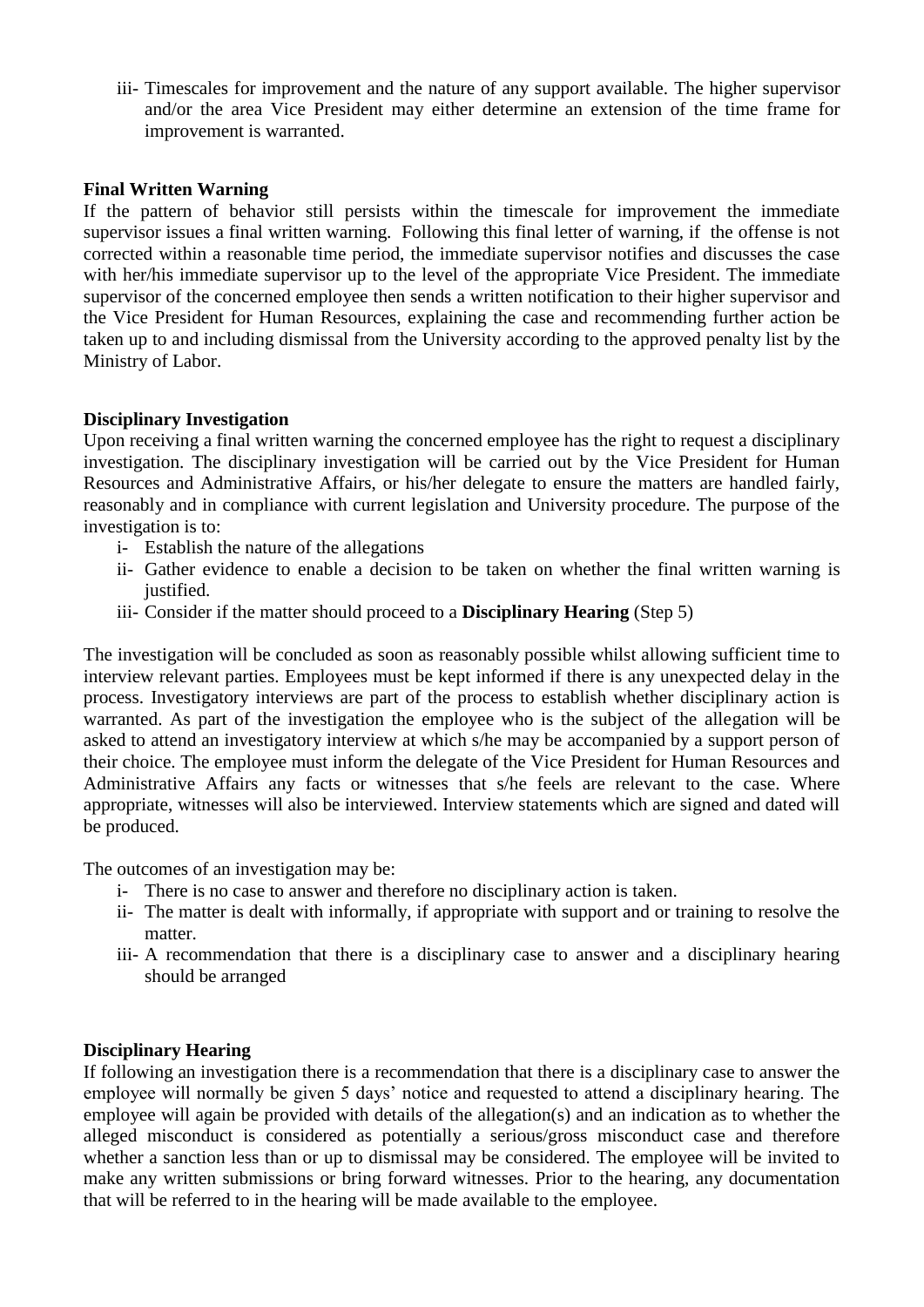iii- Timescales for improvement and the nature of any support available. The higher supervisor and/or the area Vice President may either determine an extension of the time frame for improvement is warranted.

#### **Final Written Warning**

If the pattern of behavior still persists within the timescale for improvement the immediate supervisor issues a final written warning. Following this final letter of warning, if the offense is not corrected within a reasonable time period, the immediate supervisor notifies and discusses the case with her/his immediate supervisor up to the level of the appropriate Vice President. The immediate supervisor of the concerned employee then sends a written notification to their higher supervisor and the Vice President for Human Resources, explaining the case and recommending further action be taken up to and including dismissal from the University according to the approved penalty list by the Ministry of Labor.

## **Disciplinary Investigation**

Upon receiving a final written warning the concerned employee has the right to request a disciplinary investigation. The disciplinary investigation will be carried out by the Vice President for Human Resources and Administrative Affairs, or his/her delegate to ensure the matters are handled fairly, reasonably and in compliance with current legislation and University procedure. The purpose of the investigation is to:

- i- Establish the nature of the allegations
- ii- Gather evidence to enable a decision to be taken on whether the final written warning is justified.
- iii- Consider if the matter should proceed to a **Disciplinary Hearing** (Step 5)

The investigation will be concluded as soon as reasonably possible whilst allowing sufficient time to interview relevant parties. Employees must be kept informed if there is any unexpected delay in the process. Investigatory interviews are part of the process to establish whether disciplinary action is warranted. As part of the investigation the employee who is the subject of the allegation will be asked to attend an investigatory interview at which s/he may be accompanied by a support person of their choice. The employee must inform the delegate of the Vice President for Human Resources and Administrative Affairs any facts or witnesses that s/he feels are relevant to the case. Where appropriate, witnesses will also be interviewed. Interview statements which are signed and dated will be produced.

The outcomes of an investigation may be:

- i- There is no case to answer and therefore no disciplinary action is taken.
- ii- The matter is dealt with informally, if appropriate with support and or training to resolve the matter.
- iii- A recommendation that there is a disciplinary case to answer and a disciplinary hearing should be arranged

# **Disciplinary Hearing**

If following an investigation there is a recommendation that there is a disciplinary case to answer the employee will normally be given 5 days' notice and requested to attend a disciplinary hearing. The employee will again be provided with details of the allegation(s) and an indication as to whether the alleged misconduct is considered as potentially a serious/gross misconduct case and therefore whether a sanction less than or up to dismissal may be considered. The employee will be invited to make any written submissions or bring forward witnesses. Prior to the hearing, any documentation that will be referred to in the hearing will be made available to the employee.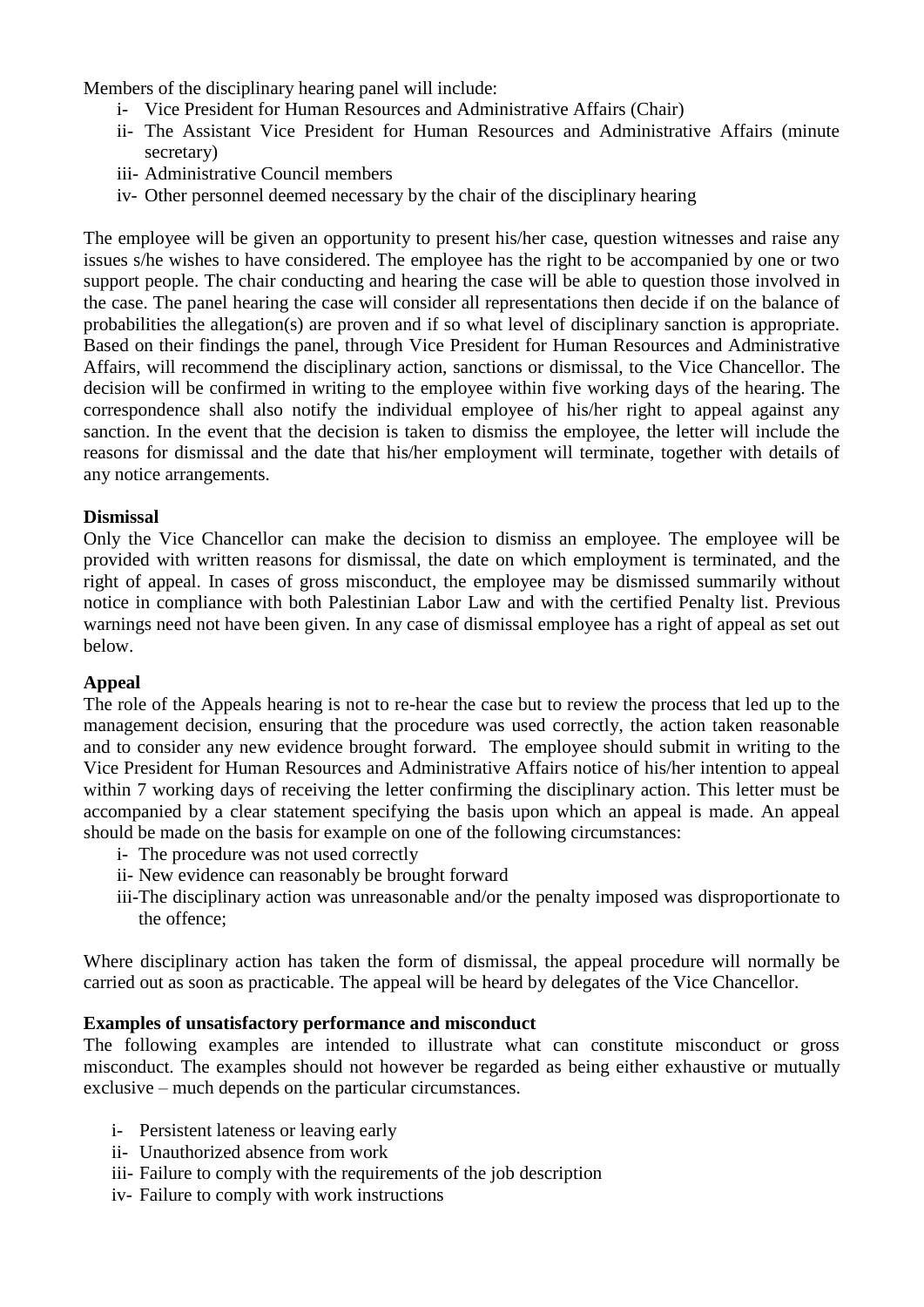Members of the disciplinary hearing panel will include:

- i- Vice President for Human Resources and Administrative Affairs (Chair)
- ii- The Assistant Vice President for Human Resources and Administrative Affairs (minute secretary)
- iii- Administrative Council members
- iv- Other personnel deemed necessary by the chair of the disciplinary hearing

The employee will be given an opportunity to present his/her case, question witnesses and raise any issues s/he wishes to have considered. The employee has the right to be accompanied by one or two support people. The chair conducting and hearing the case will be able to question those involved in the case. The panel hearing the case will consider all representations then decide if on the balance of probabilities the allegation(s) are proven and if so what level of disciplinary sanction is appropriate. Based on their findings the panel, through Vice President for Human Resources and Administrative Affairs, will recommend the disciplinary action, sanctions or dismissal, to the Vice Chancellor. The decision will be confirmed in writing to the employee within five working days of the hearing. The correspondence shall also notify the individual employee of his/her right to appeal against any sanction. In the event that the decision is taken to dismiss the employee, the letter will include the reasons for dismissal and the date that his/her employment will terminate, together with details of any notice arrangements.

## **Dismissal**

Only the Vice Chancellor can make the decision to dismiss an employee. The employee will be provided with written reasons for dismissal, the date on which employment is terminated, and the right of appeal. In cases of gross misconduct, the employee may be dismissed summarily without notice in compliance with both Palestinian Labor Law and with the certified Penalty list. Previous warnings need not have been given. In any case of dismissal employee has a right of appeal as set out below.

#### **Appeal**

The role of the Appeals hearing is not to re-hear the case but to review the process that led up to the management decision, ensuring that the procedure was used correctly, the action taken reasonable and to consider any new evidence brought forward. The employee should submit in writing to the Vice President for Human Resources and Administrative Affairs notice of his/her intention to appeal within 7 working days of receiving the letter confirming the disciplinary action. This letter must be accompanied by a clear statement specifying the basis upon which an appeal is made. An appeal should be made on the basis for example on one of the following circumstances:

- i- The procedure was not used correctly
- ii- New evidence can reasonably be brought forward
- iii-The disciplinary action was unreasonable and/or the penalty imposed was disproportionate to the offence;

Where disciplinary action has taken the form of dismissal, the appeal procedure will normally be carried out as soon as practicable. The appeal will be heard by delegates of the Vice Chancellor.

#### **Examples of unsatisfactory performance and misconduct**

The following examples are intended to illustrate what can constitute misconduct or gross misconduct. The examples should not however be regarded as being either exhaustive or mutually exclusive – much depends on the particular circumstances.

- i- Persistent lateness or leaving early
- ii- Unauthorized absence from work
- iii- Failure to comply with the requirements of the job description
- iv- Failure to comply with work instructions